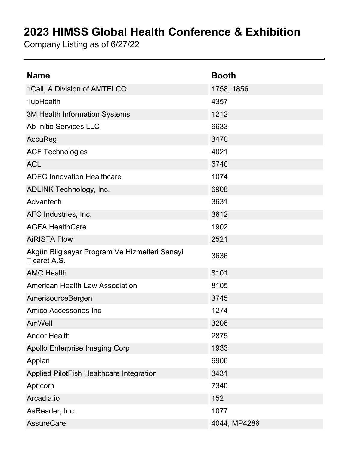## **2023 HIMSS Global Health Conference & Exhibition**

Company Listing as of 6/27/22

| <b>Name</b>                                                   | <b>Booth</b> |
|---------------------------------------------------------------|--------------|
| 1Call, A Division of AMTELCO                                  | 1758, 1856   |
| 1upHealth                                                     | 4357         |
| <b>3M Health Information Systems</b>                          | 1212         |
| Ab Initio Services LLC                                        | 6633         |
| AccuReg                                                       | 3470         |
| <b>ACF Technologies</b>                                       | 4021         |
| <b>ACL</b>                                                    | 6740         |
| <b>ADEC Innovation Healthcare</b>                             | 1074         |
| <b>ADLINK Technology, Inc.</b>                                | 6908         |
| Advantech                                                     | 3631         |
| AFC Industries, Inc.                                          | 3612         |
| <b>AGFA HealthCare</b>                                        | 1902         |
| <b>AiRISTA Flow</b>                                           | 2521         |
| Akgün Bilgisayar Program Ve Hizmetleri Sanayi<br>Ticaret A.S. | 3636         |
| <b>AMC Health</b>                                             | 8101         |
| <b>American Health Law Association</b>                        | 8105         |
| AmerisourceBergen                                             | 3745         |
| Amico Accessories Inc                                         | 1274         |
| AmWell                                                        | 3206         |
| <b>Andor Health</b>                                           | 2875         |
| <b>Apollo Enterprise Imaging Corp</b>                         | 1933         |
| Appian                                                        | 6906         |
| Applied PilotFish Healthcare Integration                      | 3431         |
| Apricorn                                                      | 7340         |
| Arcadia.io                                                    | 152          |
| AsReader, Inc.                                                | 1077         |
| <b>AssureCare</b>                                             | 4044, MP4286 |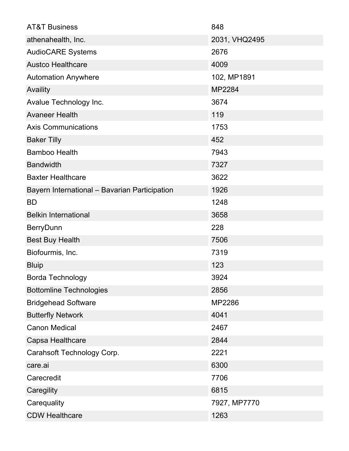| <b>AT&amp;T Business</b>                      | 848           |
|-----------------------------------------------|---------------|
| athenahealth, Inc.                            | 2031, VHQ2495 |
| <b>AudioCARE Systems</b>                      | 2676          |
| <b>Austco Healthcare</b>                      | 4009          |
| <b>Automation Anywhere</b>                    | 102, MP1891   |
| Availity                                      | MP2284        |
| Avalue Technology Inc.                        | 3674          |
| <b>Avaneer Health</b>                         | 119           |
| <b>Axis Communications</b>                    | 1753          |
| <b>Baker Tilly</b>                            | 452           |
| <b>Bamboo Health</b>                          | 7943          |
| <b>Bandwidth</b>                              | 7327          |
| <b>Baxter Healthcare</b>                      | 3622          |
| Bayern International - Bavarian Participation | 1926          |
| <b>BD</b>                                     | 1248          |
| <b>Belkin International</b>                   | 3658          |
| <b>BerryDunn</b>                              | 228           |
| <b>Best Buy Health</b>                        | 7506          |
| Biofourmis, Inc.                              | 7319          |
| <b>Bluip</b>                                  | 123           |
| <b>Borda Technology</b>                       | 3924          |
| <b>Bottomline Technologies</b>                | 2856          |
| <b>Bridgehead Software</b>                    | MP2286        |
| <b>Butterfly Network</b>                      | 4041          |
| <b>Canon Medical</b>                          | 2467          |
| Capsa Healthcare                              | 2844          |
| Carahsoft Technology Corp.                    | 2221          |
| care.ai                                       | 6300          |
| Carecredit                                    | 7706          |
| Caregility                                    | 6815          |
| Carequality                                   | 7927, MP7770  |
| <b>CDW Healthcare</b>                         | 1263          |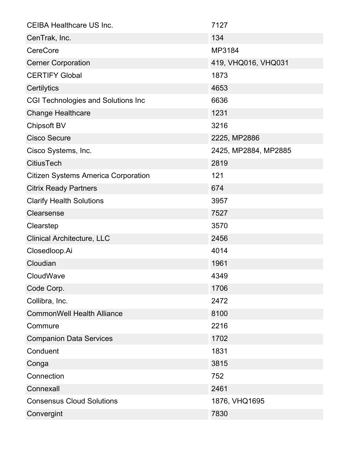| <b>CEIBA Healthcare US Inc.</b>            | 7127                 |
|--------------------------------------------|----------------------|
| CenTrak, Inc.                              | 134                  |
| <b>CereCore</b>                            | MP3184               |
| <b>Cerner Corporation</b>                  | 419, VHQ016, VHQ031  |
| <b>CERTIFY Global</b>                      | 1873                 |
| Certilytics                                | 4653                 |
| <b>CGI Technologies and Solutions Inc</b>  | 6636                 |
| <b>Change Healthcare</b>                   | 1231                 |
| <b>Chipsoft BV</b>                         | 3216                 |
| <b>Cisco Secure</b>                        | 2225, MP2886         |
| Cisco Systems, Inc.                        | 2425, MP2884, MP2885 |
| <b>CitiusTech</b>                          | 2819                 |
| <b>Citizen Systems America Corporation</b> | 121                  |
| <b>Citrix Ready Partners</b>               | 674                  |
| <b>Clarify Health Solutions</b>            | 3957                 |
| Clearsense                                 | 7527                 |
| Clearstep                                  | 3570                 |
| <b>Clinical Architecture, LLC</b>          | 2456                 |
| Closedloop.Ai                              | 4014                 |
| Cloudian                                   | 1961                 |
| CloudWave                                  | 4349                 |
| Code Corp.                                 | 1706                 |
| Collibra, Inc.                             | 2472                 |
| <b>CommonWell Health Alliance</b>          | 8100                 |
| Commure                                    | 2216                 |
| <b>Companion Data Services</b>             | 1702                 |
| Conduent                                   | 1831                 |
| Conga                                      | 3815                 |
| Connection                                 | 752                  |
| Connexall                                  | 2461                 |
| <b>Consensus Cloud Solutions</b>           | 1876, VHQ1695        |
| Convergint                                 | 7830                 |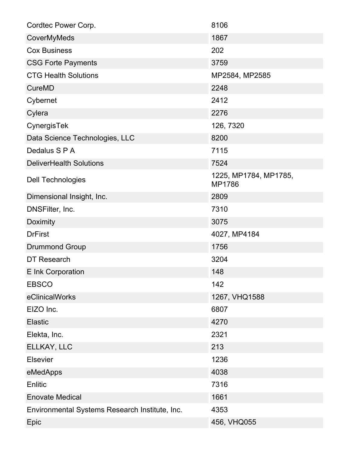| Cordtec Power Corp.                            | 8106                            |
|------------------------------------------------|---------------------------------|
| CoverMyMeds                                    | 1867                            |
| <b>Cox Business</b>                            | 202                             |
| <b>CSG Forte Payments</b>                      | 3759                            |
| <b>CTG Health Solutions</b>                    | MP2584, MP2585                  |
| <b>CureMD</b>                                  | 2248                            |
| Cybernet                                       | 2412                            |
| Cylera                                         | 2276                            |
| CynergisTek                                    | 126, 7320                       |
| Data Science Technologies, LLC                 | 8200                            |
| Dedalus S P A                                  | 7115                            |
| <b>DeliverHealth Solutions</b>                 | 7524                            |
| <b>Dell Technologies</b>                       | 1225, MP1784, MP1785,<br>MP1786 |
| Dimensional Insight, Inc.                      | 2809                            |
| DNSFilter, Inc.                                | 7310                            |
| Doximity                                       | 3075                            |
| <b>DrFirst</b>                                 | 4027, MP4184                    |
| <b>Drummond Group</b>                          | 1756                            |
| DT Research                                    | 3204                            |
| E Ink Corporation                              | 148                             |
| <b>EBSCO</b>                                   | 142                             |
| eClinicalWorks                                 | 1267, VHQ1588                   |
| EIZO Inc.                                      | 6807                            |
| <b>Elastic</b>                                 | 4270                            |
| Elekta, Inc.                                   | 2321                            |
| ELLKAY, LLC                                    | 213                             |
| <b>Elsevier</b>                                | 1236                            |
| eMedApps                                       | 4038                            |
| Enlitic                                        | 7316                            |
| <b>Enovate Medical</b>                         | 1661                            |
| Environmental Systems Research Institute, Inc. | 4353                            |
| Epic                                           | 456, VHQ055                     |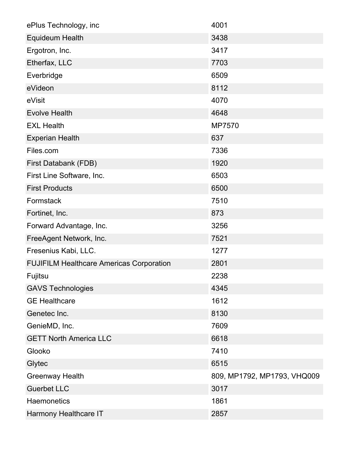| ePlus Technology, inc                           | 4001                        |
|-------------------------------------------------|-----------------------------|
| <b>Equideum Health</b>                          | 3438                        |
| Ergotron, Inc.                                  | 3417                        |
| Etherfax, LLC                                   | 7703                        |
| Everbridge                                      | 6509                        |
| eVideon                                         | 8112                        |
| eVisit                                          | 4070                        |
| <b>Evolve Health</b>                            | 4648                        |
| <b>EXL Health</b>                               | MP7570                      |
| <b>Experian Health</b>                          | 637                         |
| Files.com                                       | 7336                        |
| First Databank (FDB)                            | 1920                        |
| First Line Software, Inc.                       | 6503                        |
| <b>First Products</b>                           | 6500                        |
| Formstack                                       | 7510                        |
| Fortinet, Inc.                                  | 873                         |
| Forward Advantage, Inc.                         | 3256                        |
| FreeAgent Network, Inc.                         | 7521                        |
| Fresenius Kabi, LLC.                            | 1277                        |
| <b>FUJIFILM Healthcare Americas Corporation</b> | 2801                        |
| Fujitsu                                         | 2238                        |
| <b>GAVS Technologies</b>                        | 4345                        |
| <b>GE Healthcare</b>                            | 1612                        |
| Genetec Inc.                                    | 8130                        |
| GenieMD, Inc.                                   | 7609                        |
| <b>GETT North America LLC</b>                   | 6618                        |
| Glooko                                          | 7410                        |
| Glytec                                          | 6515                        |
| <b>Greenway Health</b>                          | 809, MP1792, MP1793, VHQ009 |
| <b>Guerbet LLC</b>                              | 3017                        |
| <b>Haemonetics</b>                              | 1861                        |
| Harmony Healthcare IT                           | 2857                        |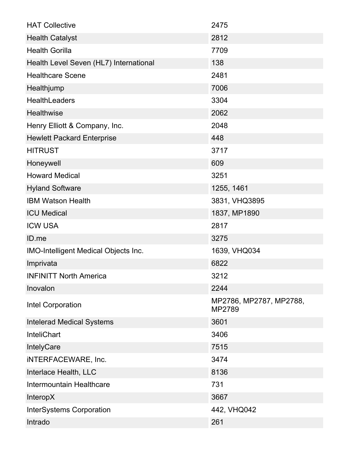| <b>HAT Collective</b>                  | 2475                              |
|----------------------------------------|-----------------------------------|
| <b>Health Catalyst</b>                 | 2812                              |
| <b>Health Gorilla</b>                  | 7709                              |
| Health Level Seven (HL7) International | 138                               |
| <b>Healthcare Scene</b>                | 2481                              |
| Healthjump                             | 7006                              |
| <b>HealthLeaders</b>                   | 3304                              |
| Healthwise                             | 2062                              |
| Henry Elliott & Company, Inc.          | 2048                              |
| <b>Hewlett Packard Enterprise</b>      | 448                               |
| <b>HITRUST</b>                         | 3717                              |
| Honeywell                              | 609                               |
| <b>Howard Medical</b>                  | 3251                              |
| <b>Hyland Software</b>                 | 1255, 1461                        |
| <b>IBM Watson Health</b>               | 3831, VHQ3895                     |
| <b>ICU Medical</b>                     | 1837, MP1890                      |
| <b>ICW USA</b>                         | 2817                              |
| ID.me                                  | 3275                              |
| IMO-Intelligent Medical Objects Inc.   | 1639, VHQ034                      |
| Imprivata                              | 6822                              |
| <b>INFINITT North America</b>          | 3212                              |
| Inovalon                               | 2244                              |
| Intel Corporation                      | MP2786, MP2787, MP2788,<br>MP2789 |
| <b>Intelerad Medical Systems</b>       | 3601                              |
| <b>InteliChart</b>                     | 3406                              |
| <b>IntelyCare</b>                      | 7515                              |
| <b>iNTERFACEWARE, Inc.</b>             | 3474                              |
| Interlace Health, LLC                  | 8136                              |
| Intermountain Healthcare               | 731                               |
| <b>InteropX</b>                        | 3667                              |
| <b>InterSystems Corporation</b>        | 442, VHQ042                       |
| Intrado                                | 261                               |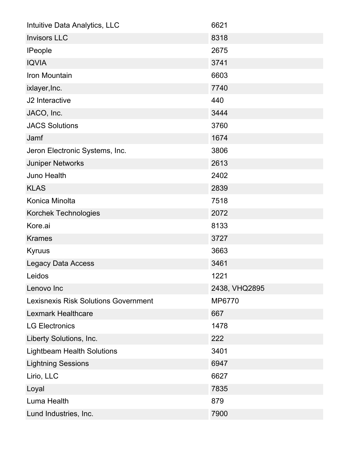| Intuitive Data Analytics, LLC               | 6621          |
|---------------------------------------------|---------------|
| <b>Invisors LLC</b>                         | 8318          |
| <b>IPeople</b>                              | 2675          |
| <b>IQVIA</b>                                | 3741          |
| Iron Mountain                               | 6603          |
| ixlayer, Inc.                               | 7740          |
| J <sub>2</sub> Interactive                  | 440           |
| JACO, Inc.                                  | 3444          |
| <b>JACS Solutions</b>                       | 3760          |
| Jamf                                        | 1674          |
| Jeron Electronic Systems, Inc.              | 3806          |
| <b>Juniper Networks</b>                     | 2613          |
| <b>Juno Health</b>                          | 2402          |
| <b>KLAS</b>                                 | 2839          |
| Konica Minolta                              | 7518          |
| Korchek Technologies                        | 2072          |
| Kore.ai                                     | 8133          |
| <b>Krames</b>                               | 3727          |
| Kyruus                                      | 3663          |
| <b>Legacy Data Access</b>                   | 3461          |
| Leidos                                      | 1221          |
| Lenovo Inc                                  | 2438, VHQ2895 |
| <b>Lexisnexis Risk Solutions Government</b> | MP6770        |
| <b>Lexmark Healthcare</b>                   | 667           |
| <b>LG Electronics</b>                       | 1478          |
| Liberty Solutions, Inc.                     | 222           |
| <b>Lightbeam Health Solutions</b>           | 3401          |
| <b>Lightning Sessions</b>                   | 6947          |
| Lirio, LLC                                  | 6627          |
| Loyal                                       | 7835          |
| Luma Health                                 | 879           |
| Lund Industries, Inc.                       | 7900          |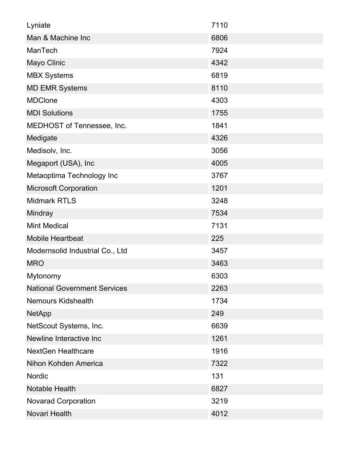| Lyniate                             | 7110 |
|-------------------------------------|------|
| Man & Machine Inc                   | 6806 |
| ManTech                             | 7924 |
| Mayo Clinic                         | 4342 |
| <b>MBX Systems</b>                  | 6819 |
| <b>MD EMR Systems</b>               | 8110 |
| <b>MDClone</b>                      | 4303 |
| <b>MDI Solutions</b>                | 1755 |
| MEDHOST of Tennessee, Inc.          | 1841 |
| Medigate                            | 4326 |
| Medisolv, Inc.                      | 3056 |
| Megaport (USA), Inc                 | 4005 |
| Metaoptima Technology Inc           | 3767 |
| <b>Microsoft Corporation</b>        | 1201 |
| <b>Midmark RTLS</b>                 | 3248 |
| Mindray                             | 7534 |
| <b>Mint Medical</b>                 | 7131 |
| <b>Mobile Heartbeat</b>             | 225  |
| Modernsolid Industrial Co., Ltd     | 3457 |
| <b>MRO</b>                          | 3463 |
| Mytonomy                            | 6303 |
| <b>National Government Services</b> | 2263 |
| <b>Nemours Kidshealth</b>           | 1734 |
| <b>NetApp</b>                       | 249  |
| NetScout Systems, Inc.              | 6639 |
| Newline Interactive Inc             | 1261 |
| <b>NextGen Healthcare</b>           | 1916 |
| Nihon Kohden America                | 7322 |
| <b>Nordic</b>                       | 131  |
| <b>Notable Health</b>               | 6827 |
| <b>Novarad Corporation</b>          | 3219 |
| Novari Health                       | 4012 |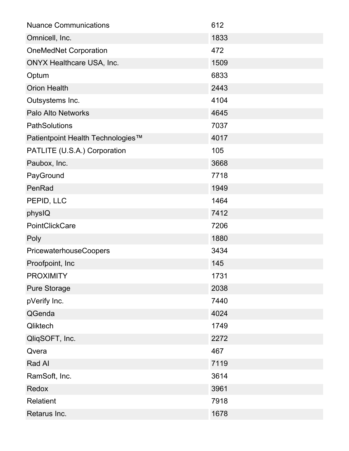| <b>Nuance Communications</b>      | 612  |
|-----------------------------------|------|
| Omnicell, Inc.                    | 1833 |
| <b>OneMedNet Corporation</b>      | 472  |
| <b>ONYX Healthcare USA, Inc.</b>  | 1509 |
| Optum                             | 6833 |
| <b>Orion Health</b>               | 2443 |
| Outsystems Inc.                   | 4104 |
| Palo Alto Networks                | 4645 |
| PathSolutions                     | 7037 |
| Patientpoint Health Technologies™ | 4017 |
| PATLITE (U.S.A.) Corporation      | 105  |
| Paubox, Inc.                      | 3668 |
| PayGround                         | 7718 |
| PenRad                            | 1949 |
| PEPID, LLC                        | 1464 |
| physIQ                            | 7412 |
| PointClickCare                    | 7206 |
| Poly                              | 1880 |
| <b>PricewaterhouseCoopers</b>     | 3434 |
| Proofpoint, Inc                   | 145  |
| <b>PROXIMITY</b>                  | 1731 |
| <b>Pure Storage</b>               | 2038 |
| pVerify Inc.                      | 7440 |
| QGenda                            | 4024 |
| Qliktech                          | 1749 |
| QliqSOFT, Inc.                    | 2272 |
| Qvera                             | 467  |
| Rad Al                            | 7119 |
| RamSoft, Inc.                     | 3614 |
| Redox                             | 3961 |
| <b>Relatient</b>                  | 7918 |
| Retarus Inc.                      | 1678 |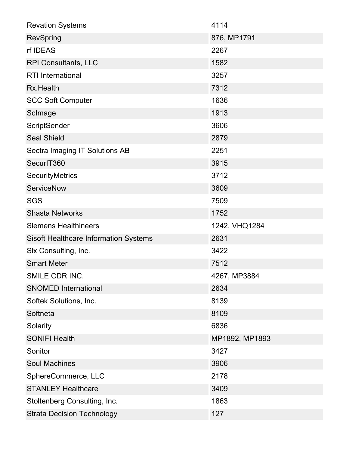| <b>Revation Systems</b>                      | 4114           |
|----------------------------------------------|----------------|
| <b>RevSpring</b>                             | 876, MP1791    |
| rf IDEAS                                     | 2267           |
| <b>RPI Consultants, LLC</b>                  | 1582           |
| <b>RTI</b> International                     | 3257           |
| Rx.Health                                    | 7312           |
| <b>SCC Soft Computer</b>                     | 1636           |
| ScImage                                      | 1913           |
| ScriptSender                                 | 3606           |
| <b>Seal Shield</b>                           | 2879           |
| Sectra Imaging IT Solutions AB               | 2251           |
| SecurlT360                                   | 3915           |
| <b>SecurityMetrics</b>                       | 3712           |
| <b>ServiceNow</b>                            | 3609           |
| <b>SGS</b>                                   | 7509           |
| <b>Shasta Networks</b>                       | 1752           |
| <b>Siemens Healthineers</b>                  | 1242, VHQ1284  |
| <b>Sisoft Healthcare Information Systems</b> | 2631           |
| Six Consulting, Inc.                         | 3422           |
| <b>Smart Meter</b>                           | 7512           |
| SMILE CDR INC.                               | 4267, MP3884   |
| <b>SNOMED International</b>                  | 2634           |
| Softek Solutions, Inc.                       | 8139           |
| Softneta                                     | 8109           |
| Solarity                                     | 6836           |
| <b>SONIFI Health</b>                         | MP1892, MP1893 |
| Sonitor                                      | 3427           |
| <b>Soul Machines</b>                         | 3906           |
| SphereCommerce, LLC                          | 2178           |
| <b>STANLEY Healthcare</b>                    | 3409           |
| Stoltenberg Consulting, Inc.                 | 1863           |
| <b>Strata Decision Technology</b>            | 127            |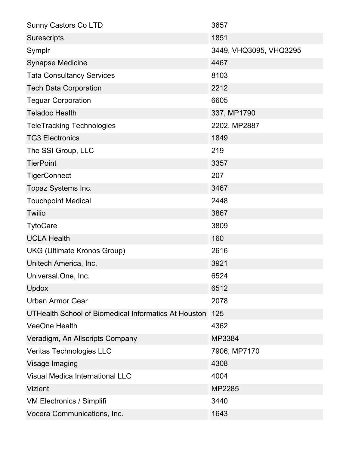| <b>Sunny Castors Co LTD</b>                          | 3657                   |
|------------------------------------------------------|------------------------|
| Surescripts                                          | 1851                   |
| Symplr                                               | 3449, VHQ3095, VHQ3295 |
| <b>Synapse Medicine</b>                              | 4467                   |
| <b>Tata Consultancy Services</b>                     | 8103                   |
| <b>Tech Data Corporation</b>                         | 2212                   |
| <b>Teguar Corporation</b>                            | 6605                   |
| <b>Teladoc Health</b>                                | 337, MP1790            |
| <b>TeleTracking Technologies</b>                     | 2202, MP2887           |
| <b>TG3 Electronics</b>                               | 1849                   |
| The SSI Group, LLC                                   | 219                    |
| <b>TierPoint</b>                                     | 3357                   |
| <b>TigerConnect</b>                                  | 207                    |
| Topaz Systems Inc.                                   | 3467                   |
| <b>Touchpoint Medical</b>                            | 2448                   |
| <b>Twilio</b>                                        | 3867                   |
| <b>TytoCare</b>                                      | 3809                   |
| <b>UCLA Health</b>                                   | 160                    |
| <b>UKG (Ultimate Kronos Group)</b>                   | 2616                   |
| Unitech America, Inc.                                | 3921                   |
| Universal.One, Inc.                                  | 6524                   |
| <b>Updox</b>                                         | 6512                   |
| <b>Urban Armor Gear</b>                              | 2078                   |
| UTHealth School of Biomedical Informatics At Houston | 125                    |
| <b>VeeOne Health</b>                                 | 4362                   |
| Veradigm, An Allscripts Company                      | MP3384                 |
| Veritas Technologies LLC                             | 7906, MP7170           |
| Visage Imaging                                       | 4308                   |
| <b>Visual Medica International LLC</b>               | 4004                   |
| <b>Vizient</b>                                       | MP2285                 |
| <b>VM Electronics / Simplifi</b>                     | 3440                   |
| Vocera Communications, Inc.                          | 1643                   |